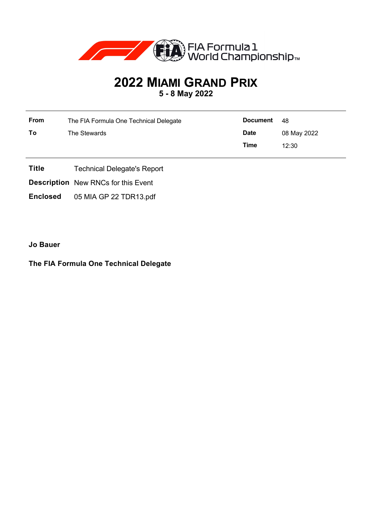

## **2022 MIAMI GRAND PRIX 5 - 8 May 2022**

| From | The FIA Formula One Technical Delegate | <b>Document</b> | - 48        |
|------|----------------------------------------|-----------------|-------------|
| To   | The Stewards                           | <b>Date</b>     | 08 May 2022 |
|      |                                        | Time            | 12:30       |

- **Title** Technical Delegate's Report
- **Description** New RNCs for this Event

**Enclosed** 05 MIA GP 22 TDR13.pdf

**Jo Bauer**

## **The FIA Formula One Technical Delegate**